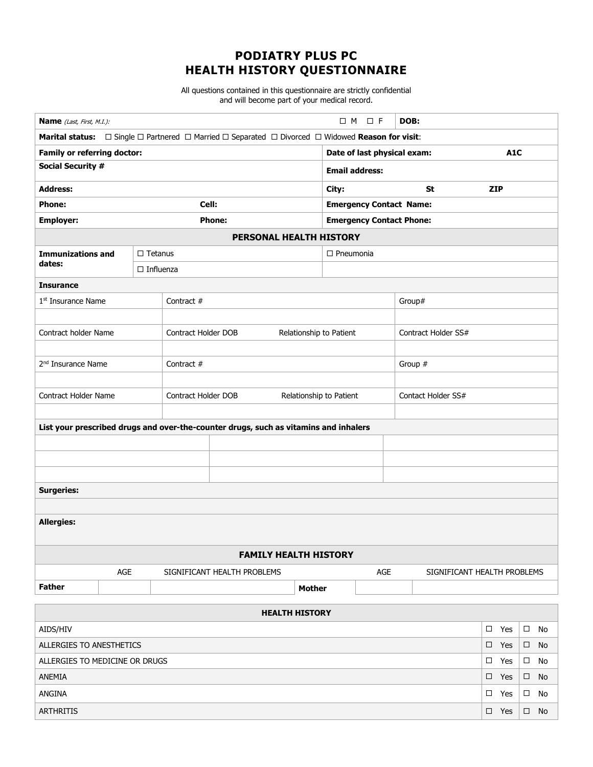## **PODIATRY PLUS PC HEALTH HISTORY QUESTIONNAIRE**

All questions contained in this questionnaire are strictly confidential and will become part of your medical record.

| $\Box$ M $\Box$ F<br>Name (Last, First, M.I.):                                                                       |  |                  |                                                       |  |  |               |                             |                                 | DOB:          |                     |               |                             |    |  |  |  |
|----------------------------------------------------------------------------------------------------------------------|--|------------------|-------------------------------------------------------|--|--|---------------|-----------------------------|---------------------------------|---------------|---------------------|---------------|-----------------------------|----|--|--|--|
| <b>Marital status:</b> □ Single  □ Partnered  □ Married  □ Separated  □ Divorced □ Widowed <b>Reason for visit</b> : |  |                  |                                                       |  |  |               |                             |                                 |               |                     |               |                             |    |  |  |  |
| <b>Family or referring doctor:</b>                                                                                   |  |                  |                                                       |  |  |               | Date of last physical exam: |                                 |               |                     |               | A <sub>1</sub> C            |    |  |  |  |
| <b>Social Security #</b>                                                                                             |  |                  |                                                       |  |  |               |                             | <b>Email address:</b>           |               |                     |               |                             |    |  |  |  |
| <b>Address:</b>                                                                                                      |  |                  |                                                       |  |  |               |                             |                                 |               | <b>St</b>           | <b>ZIP</b>    |                             |    |  |  |  |
| <b>Phone:</b><br>Cell:                                                                                               |  |                  |                                                       |  |  |               |                             | <b>Emergency Contact Name:</b>  |               |                     |               |                             |    |  |  |  |
| <b>Employer:</b><br><b>Phone:</b>                                                                                    |  |                  |                                                       |  |  |               |                             | <b>Emergency Contact Phone:</b> |               |                     |               |                             |    |  |  |  |
| PERSONAL HEALTH HISTORY                                                                                              |  |                  |                                                       |  |  |               |                             |                                 |               |                     |               |                             |    |  |  |  |
| <b>Immunizations and</b>                                                                                             |  | $\Box$ Tetanus   |                                                       |  |  |               | $\Box$ Pneumonia            |                                 |               |                     |               |                             |    |  |  |  |
| dates:                                                                                                               |  | $\Box$ Influenza |                                                       |  |  |               |                             |                                 |               |                     |               |                             |    |  |  |  |
| <b>Insurance</b>                                                                                                     |  |                  |                                                       |  |  |               |                             |                                 |               |                     |               |                             |    |  |  |  |
| $1st$ Insurance Name                                                                                                 |  |                  | Contract #                                            |  |  |               | Group#                      |                                 |               |                     |               |                             |    |  |  |  |
|                                                                                                                      |  |                  |                                                       |  |  |               |                             |                                 |               |                     |               |                             |    |  |  |  |
| Contract holder Name                                                                                                 |  |                  | <b>Contract Holder DOB</b><br>Relationship to Patient |  |  |               |                             |                                 |               | Contract Holder SS# |               |                             |    |  |  |  |
|                                                                                                                      |  |                  |                                                       |  |  |               |                             |                                 |               |                     |               |                             |    |  |  |  |
| 2 <sup>nd</sup> Insurance Name                                                                                       |  |                  | Contract #                                            |  |  |               |                             |                                 | Group #       |                     |               |                             |    |  |  |  |
|                                                                                                                      |  |                  |                                                       |  |  |               |                             |                                 |               |                     |               |                             |    |  |  |  |
| Contract Holder Name                                                                                                 |  |                  | Contract Holder DOB<br>Relationship to Patient        |  |  |               |                             | Contact Holder SS#              |               |                     |               |                             |    |  |  |  |
|                                                                                                                      |  |                  |                                                       |  |  |               |                             |                                 |               |                     |               |                             |    |  |  |  |
| List your prescribed drugs and over-the-counter drugs, such as vitamins and inhalers                                 |  |                  |                                                       |  |  |               |                             |                                 |               |                     |               |                             |    |  |  |  |
|                                                                                                                      |  |                  |                                                       |  |  |               |                             |                                 |               |                     |               |                             |    |  |  |  |
|                                                                                                                      |  |                  |                                                       |  |  |               |                             |                                 |               |                     |               |                             |    |  |  |  |
|                                                                                                                      |  |                  |                                                       |  |  |               |                             |                                 |               |                     |               |                             |    |  |  |  |
| <b>Surgeries:</b>                                                                                                    |  |                  |                                                       |  |  |               |                             |                                 |               |                     |               |                             |    |  |  |  |
|                                                                                                                      |  |                  |                                                       |  |  |               |                             |                                 |               |                     |               |                             |    |  |  |  |
| <b>Allergies:</b>                                                                                                    |  |                  |                                                       |  |  |               |                             |                                 |               |                     |               |                             |    |  |  |  |
|                                                                                                                      |  |                  |                                                       |  |  |               |                             |                                 |               |                     |               |                             |    |  |  |  |
| <b>FAMILY HEALTH HISTORY</b>                                                                                         |  |                  |                                                       |  |  |               |                             |                                 |               |                     |               |                             |    |  |  |  |
| AGE                                                                                                                  |  |                  | SIGNIFICANT HEALTH PROBLEMS                           |  |  |               |                             | AGE                             |               |                     |               | SIGNIFICANT HEALTH PROBLEMS |    |  |  |  |
| <b>Father</b>                                                                                                        |  |                  |                                                       |  |  | <b>Mother</b> |                             |                                 |               |                     |               |                             |    |  |  |  |
|                                                                                                                      |  |                  |                                                       |  |  |               |                             |                                 |               |                     |               |                             |    |  |  |  |
| <b>HEALTH HISTORY</b><br>AIDS/HIV                                                                                    |  |                  |                                                       |  |  |               |                             |                                 |               |                     | $\square$ Yes | $\Box$                      | No |  |  |  |
| ALLERGIES TO ANESTHETICS                                                                                             |  |                  |                                                       |  |  |               |                             |                                 | $\square$ Yes | $\Box$              | No            |                             |    |  |  |  |
| ALLERGIES TO MEDICINE OR DRUGS                                                                                       |  |                  |                                                       |  |  |               |                             |                                 |               | $\square$ Yes       | $\Box$        | No                          |    |  |  |  |
| ANEMIA                                                                                                               |  |                  |                                                       |  |  |               |                             |                                 |               | $\square$ Yes       | $\Box$        | No                          |    |  |  |  |
| ANGINA                                                                                                               |  |                  |                                                       |  |  |               |                             |                                 |               | $\square$ Yes       | $\Box$        | No                          |    |  |  |  |

 $ARTHRITIS$   $\Box$  Yes  $\Box$  No